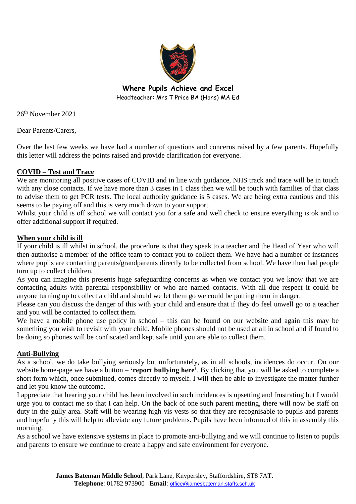

**Where Pupils Achieve and Excel** Headteacher: Mrs T Price BA (Hons) MA Ed

26th November 2021

Dear Parents/Carers,

Over the last few weeks we have had a number of questions and concerns raised by a few parents. Hopefully this letter will address the points raised and provide clarification for everyone.

# **COVID – Test and Trace**

We are monitoring all positive cases of COVID and in line with guidance, NHS track and trace will be in touch with any close contacts. If we have more than 3 cases in 1 class then we will be touch with families of that class to advise them to get PCR tests. The local authority guidance is 5 cases. We are being extra cautious and this seems to be paying off and this is very much down to your support.

Whilst your child is off school we will contact you for a safe and well check to ensure everything is ok and to offer additional support if required.

#### **When your child is ill**

If your child is ill whilst in school, the procedure is that they speak to a teacher and the Head of Year who will then authorise a member of the office team to contact you to collect them. We have had a number of instances where pupils are contacting parents/grandparents directly to be collected from school. We have then had people turn up to collect children.

As you can imagine this presents huge safeguarding concerns as when we contact you we know that we are contacting adults with parental responsibility or who are named contacts. With all due respect it could be anyone turning up to collect a child and should we let them go we could be putting them in danger.

Please can you discuss the danger of this with your child and ensure that if they do feel unwell go to a teacher and you will be contacted to collect them.

We have a mobile phone use policy in school – this can be found on our website and again this may be something you wish to revisit with your child. Mobile phones should not be used at all in school and if found to be doing so phones will be confiscated and kept safe until you are able to collect them.

#### **Anti-Bullying**

As a school, we do take bullying seriously but unfortunately, as in all schools, incidences do occur. On our website home-page we have a button **– 'report bullying here'**. By clicking that you will be asked to complete a short form which, once submitted, comes directly to myself. I will then be able to investigate the matter further and let you know the outcome.

I appreciate that hearing your child has been involved in such incidences is upsetting and frustrating but I would urge you to contact me so that I can help. On the back of one such parent meeting, there will now be staff on duty in the gully area. Staff will be wearing high vis vests so that they are recognisable to pupils and parents and hopefully this will help to alleviate any future problems. Pupils have been informed of this in assembly this morning.

As a school we have extensive systems in place to promote anti-bullying and we will continue to listen to pupils and parents to ensure we continue to create a happy and safe environment for everyone.